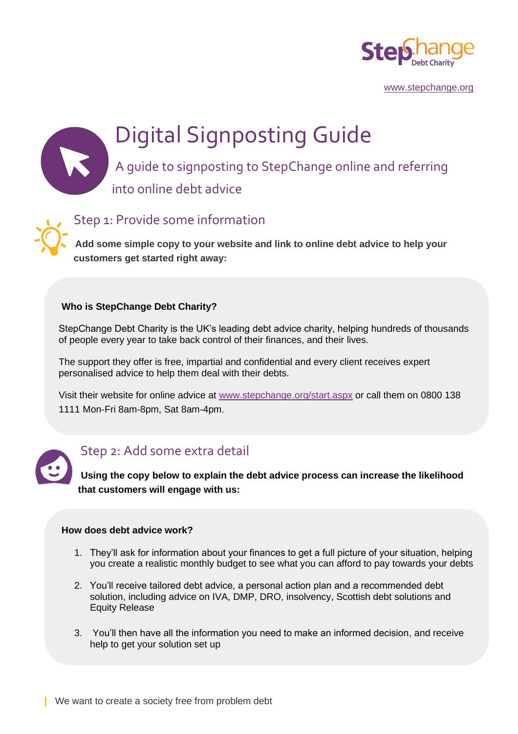

[www.stepchange.org](http://www.stepchange.org/)

# Digital Signposting Guide

A guide to signposting to StepChange online and referring into online debt advice

Step 1: Provide some information

**Add some simple copy to your website and link to online debt advice to help your customers get started right away:** 

#### **Who is StepChange Debt Charity?**

StepChange Debt Charity is the UK's leading debt advice charity, helping hundreds of thousands<br>of people every year to take back control of their finances, and their lives. of people every year to take back control of their finances, and their lives.

The support they offer is free, impartial and confidential and every client receives expert personalised advice to help them deal with their debts.

Visit their website for online advice at [www.stepchange.org/start.aspx](http://www.stepchange.org/start.aspx) or call them on 0800 138 1111 Mon-Fri 8am-8pm, Sat 8am-4pm.



### Step 2: Add some extra detail

**Using the copy below to explain the debt advice process can increase the likelihood that customers will engage with us:**

#### **How does debt advice work?**

- 1. They'll ask for information about your finances to get a full picture of your situation, helping you create a realistic monthly budget to see what you can afford to pay towards your debts
- 2. You'll receive tailored debt advice, a personal action plan and a recommended debt solution, including advice on IVA, DMP, DRO, insolvency, Scottish debt solutions and Equity Release
- 3. You'll then have all the information you need to make an informed decision, and receive help to get your solution set up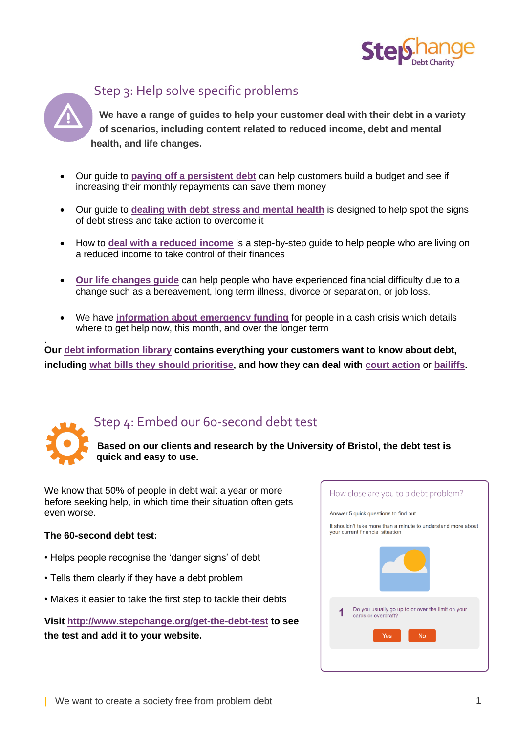

## Step 3: Help solve specific problems

**We have a range of guides to help your customer deal with their debt in a variety of scenarios, including content related to reduced income, debt and mental health, and life changes.** 

- Our guide to **[paying off a persistent debt](https://www.stepchange.org/persistent-debt.aspx)** can help customers build a budget and see if increasing their monthly repayments can save them money
- Our guide to **[dealing with debt stress and mental health](https://www.stepchange.org/debtstress.aspx)** is designed to help spot the signs of debt stress and take action to overcome it
- How to **[deal with a reduced income](https://www.stepchange.org/how-we-help/reduced-income-guide.aspx)** is a step-by-step guide to help people who are living on a reduced income to take control of their finances
- **[Our life changes guide](https://www.stepchange.org/debt-info/life-changes-and-coronavirus.aspx)** can help people who have experienced financial difficulty due to a change such as a bereavement, long term illness, divorce or separation, or job loss.
- We have **[information about emergency funding](https://www.stepchange.org/debt-info/emergency-funding.aspx)** for people in a cash crisis which details where to get help now, this month, and over the longer term

. **Our [debt information library](https://www.stepchange.org/debt-info.aspx) contains everything your customers want to know about debt, including [what bills they should prioritise,](https://www.stepchange.org/debt-info/dealing-with-debt-problems/what-debts-to-pay-first.aspx) and how they can deal with [court action](https://www.stepchange.org/debt-info/ccj.aspx)** or **[bailiffs.](https://www.stepchange.org/debt-info/debt-collection/bailiff-help-and-advice.aspx)**



## Step 4: Embed our 60-second debt test

**Based on our clients and research by the University of Bristol, the debt test is quick and easy to use.** 

We know that 50% of people in debt wait a year or more before seeking help, in which time their situation often gets even worse.

#### **The 60-second debt test:**

- Helps people recognise the 'danger signs' of debt
- Tells them clearly if they have a debt problem
- Makes it easier to take the first step to tackle their debts

**Visit<http://www.stepchange.org/get-the-debt-test> to see the test and add it to your website.**